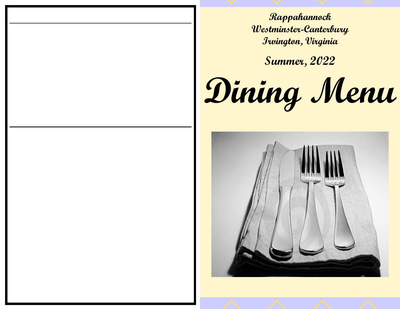**Rappahannock Westminster-Canterbury Irvington, Virginia**

**Summer, 2022**

**Dining Menu**

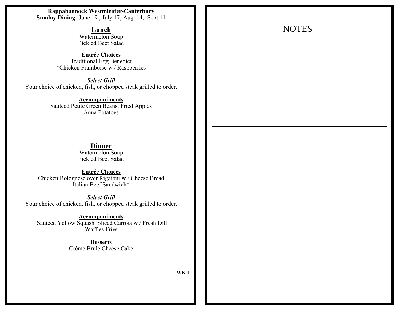**Rappahannock Westminster-Canterbury Sunday Dining** June 19 ; July 17; Aug. 14; Sept 11 **Lunch** Watermelon Soup Pickled Beet Salad **Entrée Choices** Traditional Egg Benedict \*Chicken Framboise w / Raspberries *Select Grill* Your choice of chicken, fish, or chopped steak grilled to order. **Accompaniments** Sauteed Petite Green Beans, Fried Apples Anna Potatoes **Dinner** Watermelon Soup Pickled Beet Salad **Entrée Choices** Chicken Bolognese over Rigatoni w / Cheese Bread Italian Beef Sandwich\* *Select Grill* Your choice of chicken, fish, or chopped steak grilled to order. **Accompaniments** Sauteed Yellow Squash, Sliced Carrots w / Fresh Dill Waffles Fries **Desserts** Crème Brule Cheese Cake **WK 1** NOTES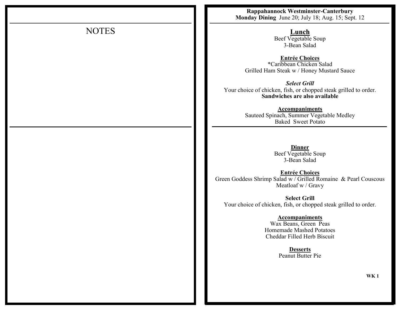|              | Rappahannock Westminster-Canterbury<br>Monday Dining June 20; July 18; Aug. 15; Sept. 12                                 |
|--------------|--------------------------------------------------------------------------------------------------------------------------|
| <b>NOTES</b> | <b>Lunch</b><br>Beef Vegetable Soup<br>3-Bean Salad                                                                      |
|              | <b>Entrée Choices</b><br>*Caribbean Chicken Salad<br>Grilled Ham Steak w / Honey Mustard Sauce                           |
|              | <b>Select Grill</b><br>Your choice of chicken, fish, or chopped steak grilled to order.<br>Sandwiches are also available |
|              | <b>Accompaniments</b><br>Sauteed Spinach, Summer Vegetable Medley<br><b>Baked Sweet Potato</b>                           |
|              | <b>Dinner</b><br>Beef Vegetable Soup<br>3-Bean Salad                                                                     |
|              | <b>Entrée Choices</b><br>Green Goddess Shrimp Salad w / Grilled Romaine & Pearl Couscous<br>Meatloaf w / Gravy           |
|              | <b>Select Grill</b><br>Your choice of chicken, fish, or chopped steak grilled to order.                                  |
|              | <b>Accompaniments</b><br>Wax Beans, Green Peas<br><b>Homemade Mashed Potatoes</b><br>Cheddar Filled Herb Biscuit         |
|              | <b>Desserts</b><br>Peanut Butter Pie                                                                                     |
|              | <b>WK1</b>                                                                                                               |
|              |                                                                                                                          |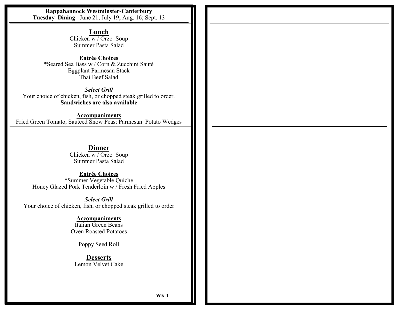**Rappahannock Westminster-Canterbury Tuesday Dining** June 21, July 19; Aug. 16; Sept. 13

> **Lunch** Chicken w / Orzo Soup Summer Pasta Salad

**Entrée Choices** \*Seared Sea Bass w / Corn & Zucchini Sauté Eggplant Parmesan Stack Thai Beef Salad

*Select Grill* Your choice of chicken, fish, or chopped steak grilled to order. **Sandwiches are also available**

**Accompaniments** Fried Green Tomato, Sauteed Snow Peas; Parmesan Potato Wedges

> **Dinner** Chicken w / Orzo Soup Summer Pasta Salad

**Entrée Choices** \*Summer Vegetable Quiche Honey Glazed Pork Tenderloin w / Fresh Fried Apples

*Select Grill* Your choice of chicken, fish, or chopped steak grilled to order

**Accompaniments**

Italian Green Beans Oven Roasted Potatoes

Poppy Seed Roll

**Desserts** Lemon Velvet Cake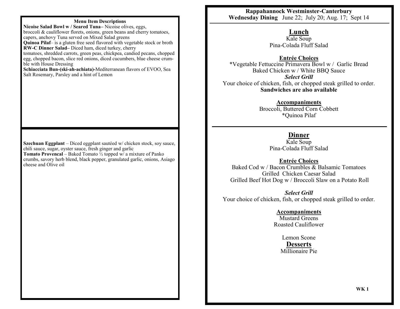#### **Menu Item Descriptions**

**Nicoise Salad Bowl w / Seared Tuna–** Nicoise olives, eggs, broccoli & cauliflower florets, onions, green beans and cherry tomatoes, capers, anchovy Tuna served on Mixed Salad greens **Quinoa Pilaf**– is a gluten free seed flavored with vegetable stock or broth **RW-C Dinner Salad–** Diced ham, diced turkey, cherry tomatoes, shredded carrots, green peas, chickpea, candied pecans, chopped egg, chopped bacon, slice red onions, diced cucumbers, blue cheese crumble with House Dressing **Schiacciata Bun-(ski-ah-achiata)-**Mediterranean flavors of EVOO, Sea Salt Rosemary, Parsley and a hint of Lemon

**Szechuan Eggplant** – Diced eggplant sautéed w/ chicken stock, soy sauce, chili sauce, sugar, oyster sauce, fresh ginger and garlic **Tomato Provencal** – Baked Tomato ½ topped w/ a mixture of Panko crumbs, savory herb blend, black pepper, granulated garlic, onions, Asiago cheese and Olive oil

**Rappahannock Westminster-Canterbury Wednesday Dining** June 22; July 20; Aug. 17; Sept 14

# **Lunch**

Kale Soup Pina-Colada Fluff Salad

**Entrée Choices**

\*Vegetable Fettuccine Primavera Bowl w / Garlic Bread Baked Chicken w / White BBQ Sauce *Select Grill* Your choice of chicken, fish, or chopped steak grilled to order. **Sandwiches are also available**

**Accompaniments**

Broccoli, Buttered Corn Cobbett \*Quinoa Pilaf

# **Dinner**

Kale Soup Pina-Colada Fluff Salad

**Entrée Choices**

Baked Cod w / Bacon Crumbles & Balsamic Tomatoes Grilled Chicken Caesar Salad Grilled Beef Hot Dog w / Broccoli Slaw on a Potato Roll

*Select Grill* Your choice of chicken, fish, or chopped steak grilled to order.

**Accompaniments**

Mustard Greens Roasted Cauliflower

Lemon Scone **Desserts** Millionaire Pie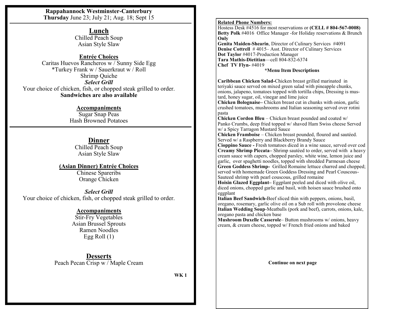**Rappahannock Westminster-Canterbury Thursday** June 23; July 21; Aug. 18; Sept 15

> **Lunch** Chilled Peach Soup Asian Style Slaw

### **Entrée Choices**

Caritas Huevos Rancheros w / Sunny Side Egg \*Turkey Frank w / Sauerkraut w / Roll Shrimp Quiche *Select Grill* Your choice of chicken, fish, or chopped steak grilled to order. **Sandwiches are also available**

## **Accompaniments**

Sugar Snap Peas Hash Browned Potatoes

# **Dinner**

Chilled Peach Soup Asian Style Slaw

## **(Asian Dinner) Entrée Choices**

Chinese Spareribs Orange Chicken

*Select Grill* Your choice of chicken, fish, or chopped steak grilled to order.

# **Accompaniments**

Stir-Fry Vegetables Asian Brussel Sprouts Ramen Noodles Egg Roll (1)

**Desserts** Peach Pecan Crisp w / Maple Cream

**WK 1**

#### **Related Phone Numbers:**

Hostess Desk #4516 for most reservations or **(CELL # 804-567-0008) Betty Polk** #4016 Office Manager -for Holiday reservations & Brunch **Only Genita Maiden-Shearin**, Director of Culinary Services #4091 **Denise Cottrell** #4015–Asst. Director of Culinary Services **Dot Taylor** #4017-Production Manager **Tara Mathis-Dietitian**—cell 804-832-6374 **Chef TV Flyn-** #4019

#### **\*Menu Item Descriptions**

**Caribbean Chicken Salad-**Chicken breast grilled marinated in teriyaki sauce served on mixed green salad with pineapple chunks, onions, jalapeno, tomatoes topped with tortilla chips, Dressing is mustard, honey sugar, oil, vinegar and lime juice

**Chicken Bolognaise–** Chicken breast cut in chunks with onion, garlic crushed tomatoes, mushrooms and Italian seasoning served over rotini pasta

**Chicken Cordon Bleu** – Chicken breast pounded and coated w/ Panko Crumbs, deep fried topped w/ shaved Ham Swiss cheese Served w/ a Spicy Tarragon Mustard Sauce

**Chicken Framboise** – Chicken breast pounded, floured and sautéed. Served w/ a Raspberry and Blackberry Brandy Sauce

**Cioppino Sauce -** Fresh tomatoes diced in a wine sauce, served over cod **Creamy Shrimp Piccata–** Shrimp sautéed to order, served with a heavy cream sauce with capers, chopped parsley, white wine, lemon juice and garlic, over spaghetti noodles, topped with shredded Parmesan cheese **Green Goddess Shrimp-** Grilled Romaine lettuce charred and chopped; served with homemade Green Goddess Dressing and Pearl Couscous-Sauteed shrimp with pearl couscous, grilled romaine

**Hoisin Glazed Eggplant–** Eggplant peeled and diced with olive oil, diced onions, chopped garlic and basil, with hoisen sauce brushed onto eggplant

**Italian Beef Sandwich-**Beef sliced thin with peppers, onions, basil, oregano, rosemary, garlic olive oil on a Sub roll with provolone cheese **Italian Wedding Soup**-Meatballs (pork and beef), carrots, onions, kale, oregano pasta and chicken base

**Mushroom Duxelle Casserole**– Button mushrooms w/ onions, heavy cream, & cream cheese, topped w/ French fried onions and baked

**Continue on next page**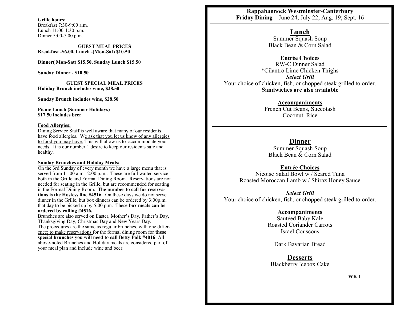**Grille hours:**  Breakfast 7:30-9:00 a.m. Lunch 11:00-1:30 p.m. Dinner 5:00-7:00 p.m.

**GUEST MEAL PRICES Breakfast -\$6.00, Lunch -(Mon-Sat) \$10.50**

**Dinner( Mon-Sat) \$15.50, Sunday Lunch \$15.50**

**Sunday Dinner - \$10.50**

**GUEST SPECIAL MEAL PRICES Holiday Brunch includes wine, \$28.50**

**Sunday Brunch includes wine, \$28.50**

**Picnic Lunch (Summer Holidays) \$17.50 includes beer**

#### **Food Allergies:**

Dining Service Staff is well aware that many of our residents have food allergies. We ask that you let us know of any allergies to food you may have. This will allow us to accommodate your needs. It is our number 1 desire to keep our residents safe and healthy.

#### **Sunday Brunches and Holiday Meals:**

On the 3rd Sunday of every month we have a large menu that is served from 11:00 a.m.–2:00 p.m.. These are full waited service both in the Grille and Formal Dining Room. Reservations are not needed for seating in the Grille, but are recommended for seating in the Formal Dining Room. **The number to call for reservations is the Hostess line #4516.** On these days we do not serve dinner in the Grille, but box dinners can be ordered by 3:00p.m. that day to be picked up by 5:00 p.m. These **box meals can be ordered by calling #4516.**

Brunches are also served on Easter, Mother's Day, Father's Day, Thanksgiving Day, Christmas Day and New Years Day. The procedures are the same as regular brunches, with one difference; to make reservations for the formal dining room for **these special brunches you will need to call Betty Polk #4016**. All above-noted Brunches and Holiday meals are considered part of your meal plan and include wine and beer.

**Rappahannock Westminster-Canterbury Friday Dining** June 24; July 22; Aug. 19; Sept. 16

#### **Lunch**

Summer Squash Soup Black Bean & Corn Salad

**Entrée Choices**

RW-C Dinner Salad \*Cilantro Lime Chicken Thighs *Select Grill* Your choice of chicken, fish, or chopped steak grilled to order. **Sandwiches are also available**

### **Accompaniments**

French Cut Beans, Succotash Coconut Rice

### **Dinner**

Summer Squash Soup Black Bean & Corn Salad

### **Entrée Choices**

Nicoise Salad Bowl w / Seared Tuna Roasted Moroccan Lamb w / Shiraz Honey Sauce

### *Select Grill*

Your choice of chicken, fish, or chopped steak grilled to order.

## **Accompaniments**

Sautéed Baby Kale Roasted Coriander Carrots Israel Couscous

Dark Bavarian Bread

**Desserts** Blackberry Icebox Cake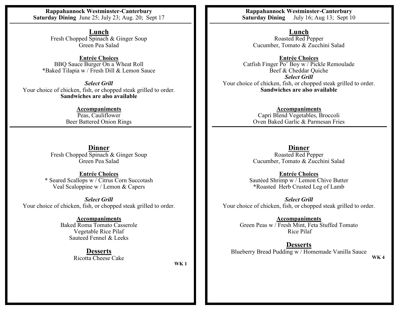**Rappahannock Westminster-Canterbury Saturday Dining** June 25; July 23; Aug. 20; Sept 17

> **Lunch** Fresh Chopped Spinach & Ginger Soup Green Pea Salad

**Entrée Choices** BBQ Sauce Burger On a Wheat Roll \*Baked Tilapia w / Fresh Dill & Lemon Sauce

*Select Grill* Your choice of chicken, fish, or chopped steak grilled to order. **Sandwiches are also available**

> **Accompaniments** Peas, Cauliflower Beer Battered Onion Rings

**Dinner** Fresh Chopped Spinach & Ginger Soup Green Pea Salad

**Entrée Choices** \* Seared Scallops w / Citrus Corn Succotash Veal Scaloppine w / Lemon & Capers

*Select Grill* Your choice of chicken, fish, or chopped steak grilled to order.

> **Accompaniments** Baked Roma Tomato Casserole Vegetable Rice Pilaf Sauteed Fennel & Leeks

> > **Desserts** Ricotta Cheese Cake

**WK 1**

**Rappahannock Westminster-Canterbury Saturday Dining** July 16; Aug 13; Sept 10

**Lunch** Roasted Red Pepper Cucumber, Tomato & Zucchini Salad

**Entrée Choices** Catfish Finger Po' Boy w / Pickle Remoulade Beef & Cheddar Quiche *Select Grill* Your choice of chicken, fish, or chopped steak grilled to order. **Sandwiches are also available**

> **Accompaniments** Capri Blend Vegetables, Broccoli Oven Baked Garlic & Parmesan Fries

**Dinner** Roasted Red Pepper Cucumber, Tomato & Zucchini Salad

**Entrée Choices** Sautéed Shrimp w / Lemon Chive Butter \*Roasted Herb Crusted Leg of Lamb

*Select Grill* Your choice of chicken, fish, or chopped steak grilled to order.

> **Accompaniments** Green Peas w / Fresh Mint, Feta Stuffed Tomato Rice Pilaf

**Desserts** Blueberry Bread Pudding w / Homemade Vanilla Sauce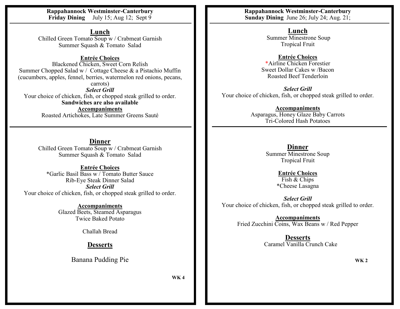**Rappahannock Westminster-Canterbury Friday Dining** July 15; Aug 12; Sept 9

**Lunch** Chilled Green Tomato Soup w / Crabmeat Garnish Summer Squash & Tomato Salad

**Entrée Choices**

Blackened Chicken, Sweet Corn Relish Summer Chopped Salad w / Cottage Cheese & a Pistachio Muffin (cucumbers, apples, fennel, berries, watermelon red onions, pecans,

carrots) *Select Grill* Your choice of chicken, fish, or chopped steak grilled to order. **Sandwiches are also available Accompaniments** Roasted Artichokes, Late Summer Greens Sauté

**Dinner** Chilled Green Tomato Soup w / Crabmeat Garnish Summer Squash & Tomato Salad

**Entrée Choices** \*Garlic Basil Bass w / Tomato Butter Sauce Rib-Eye Steak Dinner Salad *Select Grill* Your choice of chicken, fish, or chopped steak grilled to order.

> **Accompaniments** Glazed Beets, Steamed Asparagus Twice Baked Potato

> > Challah Bread

**Desserts**

Banana Pudding Pie

**WK 4**

**Rappahannock Westminster-Canterbury Sunday Dining** June 26; July 24; Aug. 21;

> **Lunch** Summer Minestrone Soup Tropical Fruit

**Entrée Choices** \*Airline Chicken Forestier Sweet Dollar Cakes w /Bacon Roasted Beef Tenderloin

*Select Grill* Your choice of chicken, fish, or chopped steak grilled to order.

> **Accompaniments** Asparagus, Honey Glaze Baby Carrots Tri-Colored Hash Potatoes

> > **Dinner** Summer Minestrone Soup Tropical Fruit

> > > **Entrée Choices** Fish & Chips \*Cheese Lasagna

*Select Grill* Your choice of chicken, fish, or chopped steak grilled to order.

> **Accompaniments** Fried Zucchini Coins, Wax Beans w / Red Pepper

> > **Desserts** Caramel Vanilla Crunch Cake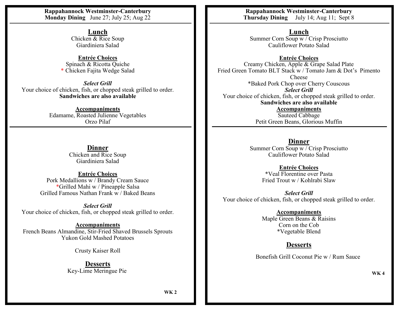**Rappahannock Westminster-Canterbury Monday Dining** June 27; July 25; Aug 22

> **Lunch** Chicken & Rice Soup Giardiniera Salad

**Entrée Choices** Spinach & Ricotta Quiche \* Chicken Fajita Wedge Salad

*Select Grill* Your choice of chicken, fish, or chopped steak grilled to order. **Sandwiches are also available**

> **Accompaniments** Edamame, Roasted Julienne Vegetables Orzo Pilaf

> > **Dinner** Chicken and Rice Soup Giardiniera Salad

**Entrée Choices** Pork Medallions w / Brandy Cream Sauce \*Grilled Mahi w / Pineapple Salsa Grilled Famous Nathan Frank w / Baked Beans

*Select Grill* Your choice of chicken, fish, or chopped steak grilled to order.

**Accompaniments** French Beans Almandine, Stir-Fried Shaved Brussels Sprouts Yukon Gold Mashed Potatoes

Crusty Kaiser Roll

**Desserts** Key-Lime Meringue Pie

**Rappahannock Westminster-Canterbury Thursday Dining** July 14; Aug 11; Sept 8

**Lunch**

Summer Corn Soup  $\overline{w/C}$ risp Prosciutto Cauliflower Potato Salad

**Entrée Choices** Creamy Chicken, Apple & Grape Salad Plate Fried Green Tomato BLT Stack w / Tomato Jam & Dot's Pimento Cheese \*Baked Pork Chop over Cherry Couscous *Select Grill* Your choice of chicken, fish, or chopped steak grilled to order. **Sandwiches are also available Accompaniments** Sauteed Cabbage Petit Green Beans, Glorious Muffin

> **Dinner** Summer Corn Soup w / Crisp Prosciutto Cauliflower Potato Salad

> > **Entrée Choices** \*Veal Florentine over Pasta Fried Trout w / Kohlrabi Slaw

*Select Grill* Your choice of chicken, fish, or chopped steak grilled to order.

> **Accompaniments** Maple Green Beans & Raisins Corn on the Cob \*Vegetable Blend

# **Desserts**

Bonefish Grill Coconut Pie w / Rum Sauce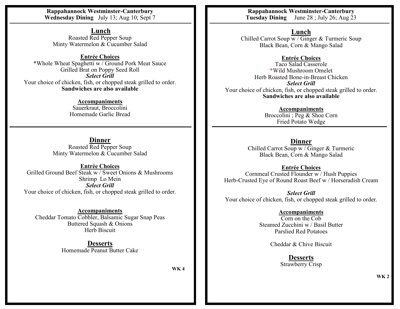**Rappahannock Westminster-Canterbury Wednesday Dining** July 13; Aug 10; Sept 7

**Lunch** Roasted Red Pepper Soup Minty Watermelon & Cucumber Salad

**Entrée Choices** \*Whole Wheat Spaghetti w / Ground Pork Meat Sauce Grilled Brat on Poppy Seed Roll *Select Grill* Your choice of chicken, fish, or chopped steak grilled to order. **Sandwiches are also available**

> **Accompaniments** Sauerkraut, Broccolini Homemade Garlic Bread

**Dinner** Roasted Red Pepper Soup Minty Watermelon & Cucumber Salad

**Entrée Choices** Grilled Ground Beef Steak w / Sweet Onions & Mushrooms Shrimp Lo Mein *Select Grill* Your choice of chicken, fish, or chopped steak grilled to order.

**Accompaniments** Cheddar Tomato Cobbler, Balsamic Sugar Snap Peas Buttered Squash & Onions Herb Biscuit

> **Desserts** Homemade Peanut Butter Cake

> > **WK 4**

**Rappahannock Westminster-Canterbury Tuesday Dining** June 28 ; July 26; Aug 23

**Lunch**

Chilled Carrot Soup w / Ginger & Turmeric Soup Black Bean, Corn & Mango Salad

**Entrée Choices**

Taco Salad Casserole \*Wild Mushroom Omelet Herb Roasted Bone-in-Breast Chicken *Select Grill* Your choice of chicken, fish, or chopped steak grilled to order. **Sandwiches are also available**

> **Accompaniments** Broccolini ; Peg & Shoe Corn Fried Potato Wedge

**Dinner** Chilled Carrot Soup w / Ginger & Turmeric Black Bean, Corn & Mango Salad

**Entrée Choices** Cornmeal Crusted Flounder w / Hush Puppies Herb-Crusted Eye of Round Roast Beef w / Horseradish Cream

*Select Grill* Your choice of chicken, fish, or chopped steak grilled to order.

## **Accompaniments**

Corn on the Cob Steamed Zucchini w / Basil Butter Parslied Red Potatoes

Cheddar & Chive Biscuit

**Desserts** Strawberry Crisp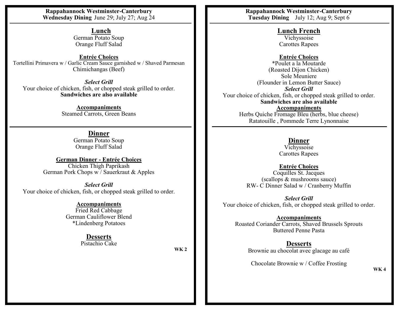**Rappahannock Westminster-Canterbury Wednesday Dining** June 29; July 27; Aug 24

> **Lunch** German Potato Soup Orange Fluff Salad

**Entrée Choices** Tortellini Primavera w / Garlic Cream Sauce garnished w / Shaved Parmesan Chimichangas (Beef)

*Select Grill* Your choice of chicken, fish, or chopped steak grilled to order. **Sandwiches are also available**

> **Accompaniments** Steamed Carrots, Green Beans

> > **Dinner** German Potato Soup Orange Fluff Salad

**German Dinner - Entrée Choices** Chicken Thigh Paprikash German Pork Chops w / Sauerkraut & Apples

*Select Grill* Your choice of chicken, fish, or chopped steak grilled to order.

**Accompaniments**

Fried Red Cabbage German Cauliflower Blend \*Lindenberg Potatoes

# **Desserts**

Pistachio Cake

**WK 2**

**Rappahannock Westminster-Canterbury Tuesday Dining** July 12; Aug 9; Sept 6

> **Lunch French** Vichyssoise Carottes Rapees

**Entrée Choices** \*Poulet a la Moutarde (Roasted Dijon Chicken) Sole Meuniere (Flounder in Lemon Butter Sauce) *Select Grill* Your choice of chicken, fish, or chopped steak grilled to order. **Sandwiches are also available Accompaniments** Herbs Quiche Fromage Bleu (herbs, blue cheese) Ratatouille , Pommede Terre Lynonnaise

# **Dinner**

Vichyssoise Carottes Rapees

**Entrée Choices** Coquilles St. Jacques

(scallops & mushrooms sauce) RW- C Dinner Salad w / Cranberry Muffin

*Select Grill* Your choice of chicken, fish, or chopped steak grilled to order.

**Accompaniments** Roasted Coriander Carrots, Shaved Brussels Sprouts Buttered Penne Pasta

> **Desserts** Brownie au chocolat avec glacage au café

Chocolate Brownie w / Coffee Frosting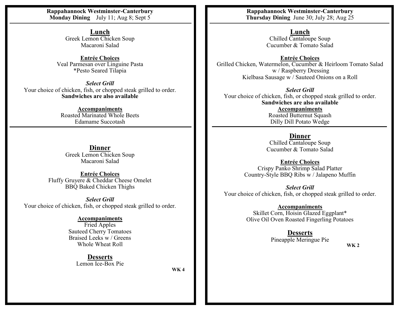**Rappahannock Westminster-Canterbury Monday Dining** July 11; Aug 8; Sept 5

> **Lunch** Greek Lemon Chicken Soup Macaroni Salad

**Entrée Choices** Veal Parmesan over Linguine Pasta \*Pesto Seared Tilapia

*Select Grill* Your choice of chicken, fish, or chopped steak grilled to order. **Sandwiches are also available**

> **Accompaniments** Roasted Marinated Whole Beets Edamame Succotash

**Dinner** Greek Lemon Chicken Soup Macaroni Salad

**Entrée Choices** Fluffy Gruyere & Cheddar Cheese Omelet BBQ Baked Chicken Thighs

*Select Grill* Your choice of chicken, fish, or chopped steak grilled to order.

### **Accompaniments**

Fried Apples Sauteed Cherry Tomatoes Braised Leeks w / Greens Whole Wheat Roll

> **Desserts** Lemon Ice-Box Pie

**WK 4**

**Rappahannock Westminster-Canterbury Thursday Dining** June 30; July 28; Aug 25

**Lunch**

Chilled Cantaloupe Soup Cucumber & Tomato Salad

**Entrée Choices** Grilled Chicken, Watermelon, Cucumber & Heirloom Tomato Salad w / Raspberry Dressing Kielbasa Sausage w / Sauteed Onions on a Roll

*Select Grill* Your choice of chicken, fish, or chopped steak grilled to order. **Sandwiches are also available Accompaniments** Roasted Butternut Squash Dilly Dill Potato Wedge

## **Dinner**

Chilled Cantaloupe Soup Cucumber & Tomato Salad

**Entrée Choices** Crispy Panko Shrimp Salad Platter Country-Style BBQ Ribs w / Jalapeno Muffin

*Select Grill* Your choice of chicken, fish, or chopped steak grilled to order.

**Accompaniments**

Skillet Corn, Hoisin Glazed Eggplant\* Olive Oil Oven Roasted Fingerling Potatoes

**Desserts**

Pineapple Meringue Pie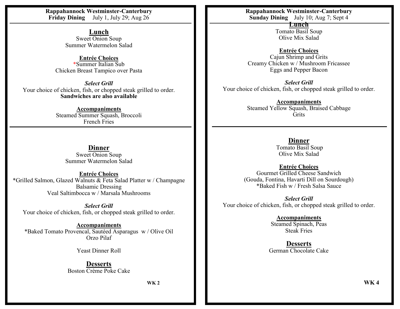**Rappahannock Westminster-Canterbury Friday Dining** July 1, July 29; Aug 26

> **Lunch** Sweet Onion Soup Summer Watermelon Salad

**Entrée Choices** \*Summer Italian Sub Chicken Breast Tampico over Pasta

*Select Grill* Your choice of chicken, fish, or chopped steak grilled to order. **Sandwiches are also available**

> **Accompaniments** Steamed Summer Squash, Broccoli French Fries

**Dinner** Sweet Onion Soup Summer Watermelon Salad

**Entrée Choices** \*Grilled Salmon, Glazed Walnuts & Feta Salad Platter w / Champagne Balsamic Dressing Veal Saltimbocca w / Marsala Mushrooms

*Select Grill* Your choice of chicken, fish, or chopped steak grilled to order.

**Accompaniments** \*Baked Tomato Provencal, Sautéed Asparagus w / Olive Oil Orzo Pilaf

Yeast Dinner Roll

**Desserts** Boston Crème Poke Cake

**WK 2**

**Rappahannock Westminster-Canterbury Sunday Dining** July 10; Aug 7; Sept 4

> **Lunch** Tomato Basil Soup Olive Mix Salad

**Entrée Choices** Cajun Shrimp and Grits Creamy Chicken w / Mushroom Fricassee Eggs and Pepper Bacon

*Select Grill* Your choice of chicken, fish, or chopped steak grilled to order.

> **Accompaniments** Steamed Yellow Squash, Braised Cabbage **Grits**

> > **Dinner**

Tomato Basil Soup Olive Mix Salad

**Entrée Choices** Gourmet Grilled Cheese Sandwich (Gouda, Fontina, Havarti Dill on Sourdough) \*Baked Fish w / Fresh Salsa Sauce

*Select Grill* Your choice of chicken, fish, or chopped steak grilled to order.

> **Accompaniments** Steamed Spinach, Peas Steak Fries

**Desserts** German Chocolate Cake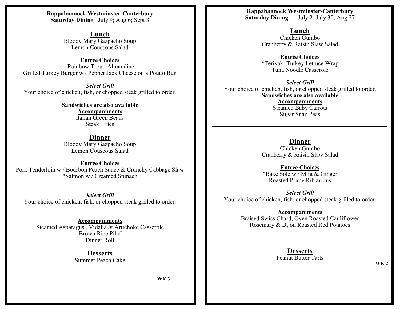**Rappahannock Westminster-Canterbury Saturday Dining** July 9; Aug 6; Sept 3

> **Lunch** Bloody Mary Gazpacho Soup Lemon Couscous Salad

**Entrée Choices** Rainbow Trout Almandine Grilled Turkey Burger w / Pepper Jack Cheese on a Potato Bun

*Select Grill* Your choice of chicken, fish, or chopped steak grilled to order.

> **Sandwiches are also available Accompaniments** Italian Green Beans Steak Fries

**Dinner** Bloody Mary Gazpacho Soup Lemon Couscous Salad

**Entrée Choices** Pork Tenderloin w / Bourbon Peach Sauce & Crunchy Cabbage Slaw \*Salmon w / Creamed Spinach

*Select Grill* Your choice of chicken, fish, or chopped steak grilled to order.

**Accompaniments** Steamed Asparagus , Vidalia & Artichoke Casserole Brown Rice Pilaf Dinner Roll

> **Desserts** Summer Peach Cake

> > **WK 3**

**Rappahannock Westminster-Canterbury Saturday Dining** July 2; July 30; Aug 27

> **Lunch** Chicken Gumbo Cranberry & Raisin Slaw Salad

**Entrée Choices** \*Teriyaki Turkey Lettuce Wrap Tuna Noodle Casserole

*Select Grill* Your choice of chicken, fish, or chopped steak grilled to order. **Sandwiches are also available Accompaniments** Steamed Baby Carrots Sugar Snap Peas

> **Dinner** Chicken Gumbo Cranberry & Raisin Slaw Salad

**Entrée Choices** \*Bake Sole w / Mint & Ginger Roasted Prime Rib au Jus

*Select Grill* Your choice of chicken, fish, or chopped steak grilled to order.

> **Accompaniments** Braised Swiss Chard, Oven Roasted Cauliflower Rosemary & Dijon Roasted Red Potatoes

> > **Desserts** Peanut Butter Tarts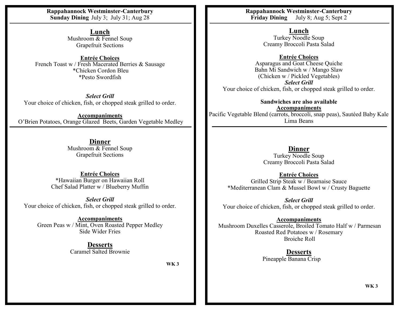**Rappahannock Westminster-Canterbury Sunday Dining** July 3; July 31; Aug 28

> **Lunch** Mushroom & Fennel Soup Grapefruit Sections

**Entrée Choices** French Toast w / Fresh Macerated Berries & Sausage \*Chicken Cordon Bleu \*Pesto Swordfish

*Select Grill* Your choice of chicken, fish, or chopped steak grilled to order.

**Accompaniments** O'Brien Potatoes, Orange Glazed Beets, Garden Vegetable Medley

> **Dinner** Mushroom & Fennel Soup Grapefruit Sections

**Entrée Choices** \*Hawaiian Burger on Hawaiian Roll Chef Salad Platter w / Blueberry Muffin

*Select Grill* Your choice of chicken, fish, or chopped steak grilled to order.

**Accompaniments** Green Peas w / Mint, Oven Roasted Pepper Medley Side Wider Fries

> **Desserts** Caramel Salted Brownie

> > **WK 3**

**Rappahannock Westminster-Canterbury<br>Friday Dining July 8; Aug 5; Sept 2 July 8; Aug 5; Sept 2** 

> **Lunch** Turkey Noodle Soup Creamy Broccoli Pasta Salad

**Entrée Choices** Asparagus and Goat Cheese Quiche Bahn Mi Sandwich w / Mango Slaw (Chicken w / Pickled Vegetables) *Select Grill* Your choice of chicken, fish, or chopped steak grilled to order.

**Sandwiches are also available Accompaniments** Pacific Vegetable Blend (carrots, broccoli, snap peas), Sautéed Baby Kale Lima Beans

> **Dinner** Turkey Noodle Soup Creamy Broccoli Pasta Salad

**Entrée Choices** Grilled Strip Steak w / Bearnaise Sauce \*Mediterranean Clam & Mussel Bowl w / Crusty Baguette

*Select Grill* Your choice of chicken, fish, or chopped steak grilled to order.

**Accompaniments** Mushroom Duxelles Casserole, Broiled Tomato Half w / Parmesan Roasted Red Potatoes w / Rosemary Broiche Roll

> **Desserts** Pineapple Banana Crisp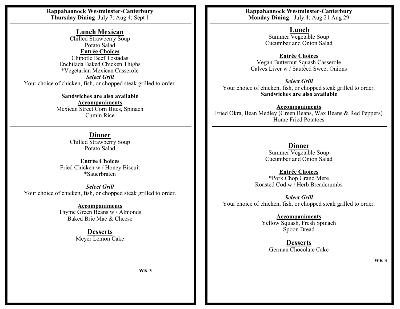**Rappahannock Westminster-Canterbury Thursday Dining** July 7; Aug 4; Sept 1

> **Lunch Mexican** Chilled Strawberry Soup Potato Salad **Entrée Choices** Chipotle Beef Tostadas Enchilada Baked Chicken Thighs \*Vegetarian Mexican Casserole

*Select Grill* Your choice of chicken, fish, or chopped steak grilled to order.

> **Sandwiches are also available Accompaniments** Mexican Street Corn Bites, Spinach Cumin Rice

> > **Dinner** Chilled Strawberry Soup Potato Salad

**Entrée Choices** Fried Chicken w / Honey Biscuit \*Sauerbraten

*Select Grill* Your choice of chicken, fish, or chopped steak grilled to order.

> **Accompaniments** Thyme Green Beans w / Almonds Baked Brie Mac & Cheese

> > **Desserts** Meyer Lemon Cake

**Rappahannock Westminster-Canterbury Monday Dining** July 4; Aug 21 Aug 29

> **Lunch** Summer Vegetable Soup

Cucumber and Onion Salad

**Entrée Choices** Vegan Butternut Squash Casserole Calves Liver w / Sautéed Sweet Onions

*Select Grill* Your choice of chicken, fish, or chopped steak grilled to order. **Sandwiches are also available**

**Accompaniments** Fried Okra, Bean Medley (Green Beans, Wax Beans & Red Peppers) Home Fried Potatoes

> **Dinner** Summer Vegetable Soup Cucumber and Onion Salad

**Entrée Choices** \*Pork Chop Grand Mere Roasted Cod w / Herb Breadcrumbs

*Select Grill* Your choice of chicken, fish, or chopped steak grilled to order.

> **Accompaniments** Yellow Squash, Fresh Spinach Spoon Bread

**Desserts** German Chocolate Cake

**WK 3**